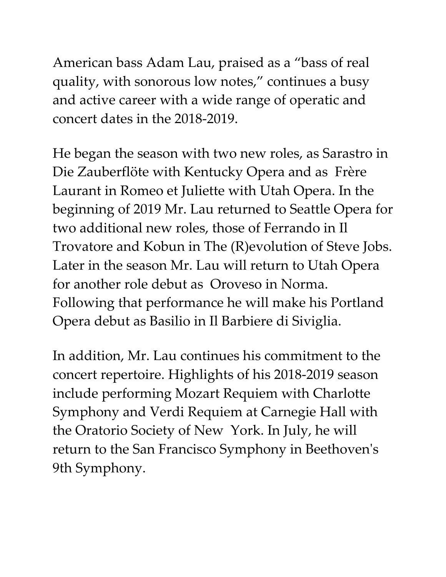American bass Adam Lau, praised as a "bass of real quality, with sonorous low notes," continues a busy and active career with a wide range of operatic and concert dates in the 2018-2019.

He began the season with two new roles, as Sarastro in Die Zauberflöte with Kentucky Opera and as Frère Laurant in Romeo et Juliette with Utah Opera. In the beginning of 2019 Mr. Lau returned to Seattle Opera for two additional new roles, those of Ferrando in Il Trovatore and Kobun in The (R)evolution of Steve Jobs. Later in the season Mr. Lau will return to Utah Opera for another role debut as Oroveso in Norma. Following that performance he will make his Portland Opera debut as Basilio in Il Barbiere di Siviglia.

In addition, Mr. Lau continues his commitment to the concert repertoire. Highlights of his 2018-2019 season include performing Mozart Requiem with Charlotte Symphony and Verdi Requiem at Carnegie Hall with the Oratorio Society of New York. In July, he will return to the San Francisco Symphony in Beethoven's 9th Symphony.